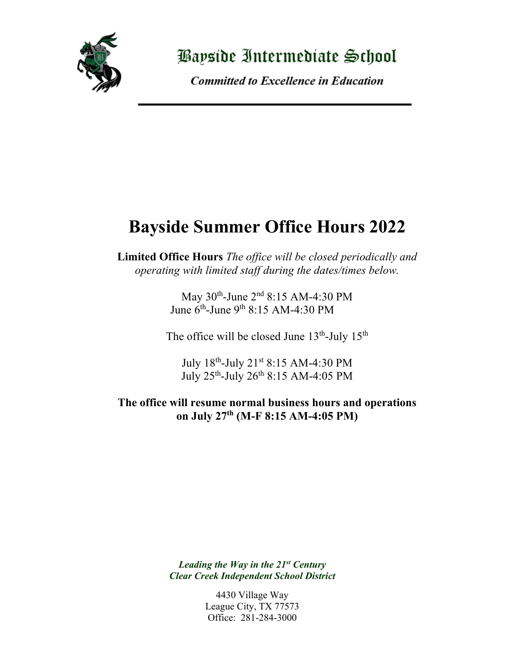

<u> Payside Intermediate School</u>

**Committed to Excellence in Education** 

## **Bayside Summer Office Hours 2022**

**Limited Office Hours** *The office will be closed periodically and operating with limited staff during the dates/times below.*

> May 30th-June 2nd 8:15 AM-4:30 PM June 6th-June 9th 8:15 AM-4:30 PM

The office will be closed June  $13<sup>th</sup>$ -July  $15<sup>th</sup>$ 

July 18th-July 21st 8:15 AM-4:30 PM July 25th-July 26th 8:15 AM-4:05 PM

**The office will resume normal business hours and operations on July 27th (M-F 8:15 AM-4:05 PM)**

> *Leading the Way in the 21st Century Clear Creek Independent School District*

> > 4430 Village Way League City, TX 77573 Office: 281-284-3000